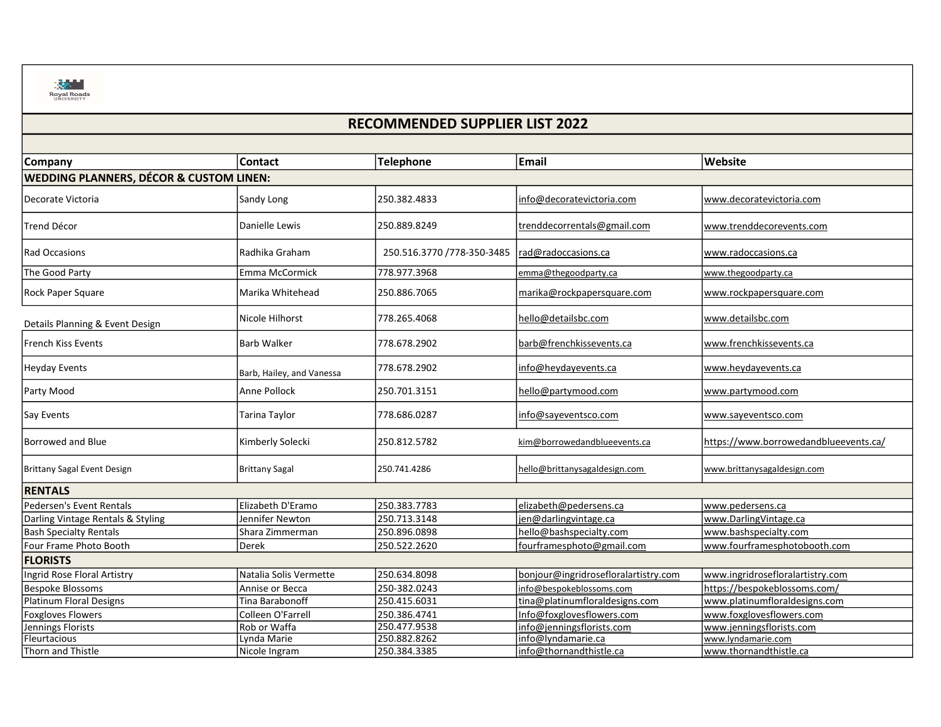

## RECOMMENDED SUPPLIER LIST 2022

| <b>Company</b>                                     | <b>Contact</b>            | Telephone                  | Email                                | Website                               |
|----------------------------------------------------|---------------------------|----------------------------|--------------------------------------|---------------------------------------|
|                                                    |                           |                            |                                      |                                       |
| <b>WEDDING PLANNERS, DÉCOR &amp; CUSTOM LINEN:</b> |                           |                            |                                      |                                       |
| Decorate Victoria                                  | Sandy Long                | 250.382.4833               | info@decoratevictoria.com            | www.decoratevictoria.com              |
| <b>Trend Décor</b>                                 | Danielle Lewis            | 250.889.8249               | trenddecorrentals@gmail.com          | www.trenddecorevents.com              |
| Rad Occasions                                      | Radhika Graham            | 250.516.3770 /778-350-3485 | rad@radoccasions.ca                  | www.radoccasions.ca                   |
| The Good Party                                     | Emma McCormick            | 778.977.3968               | emma@thegoodparty.ca                 | www.thegoodparty.ca                   |
| <b>Rock Paper Square</b>                           | Marika Whitehead          | 250.886.7065               | marika@rockpapersquare.com           | www.rockpapersquare.com               |
| Details Planning & Event Design                    | Nicole Hilhorst           | 778.265.4068               | hello@detailsbc.com                  | www.detailsbc.com                     |
| French Kiss Events                                 | <b>Barb Walker</b>        | 778.678.2902               | barb@frenchkissevents.ca             | www.frenchkissevents.ca               |
| Heyday Events                                      | Barb, Hailey, and Vanessa | 778.678.2902               | info@heydayevents.ca                 | www.heydayevents.ca                   |
| Party Mood                                         | Anne Pollock              | 250.701.3151               | hello@partymood.com                  | www.partymood.com                     |
| Say Events                                         | Tarina Taylor             | 778.686.0287               | info@sayeventsco.com                 | www.sayeventsco.com                   |
| Borrowed and Blue                                  | Kimberly Solecki          | 250.812.5782               | kim@borrowedandblueevents.ca         | https://www.borrowedandblueevents.ca/ |
| Brittany Sagal Event Design                        | <b>Brittany Sagal</b>     | 250.741.4286               | hello@brittanysagaldesign.com        | www.brittanysagaldesign.com           |
| <b>RENTALS</b>                                     |                           |                            |                                      |                                       |
| <b>Pedersen's Event Rentals</b>                    | Elizabeth D'Eramo         | 250.383.7783               | elizabeth@pedersens.ca               | www.pedersens.ca                      |
| Darling Vintage Rentals & Styling                  | Jennifer Newton           | 250.713.3148               | jen@darlingvintage.ca                | www.DarlingVintage.ca                 |
| <b>Bash Specialty Rentals</b>                      | Shara Zimmerman           | 250.896.0898               | hello@bashspecialty.com              | www.bashspecialty.com                 |
| Four Frame Photo Booth                             | Derek                     | 250.522.2620               | fourframesphoto@gmail.com            | www.fourframesphotobooth.com          |
| <b>FLORISTS</b>                                    |                           |                            |                                      |                                       |
| Ingrid Rose Floral Artistry                        | Natalia Solis Vermette    | 250.634.8098               | bonjour@ingridrosefloralartistry.com | www.ingridrosefloralartistry.com      |
| <b>Bespoke Blossoms</b>                            | Annise or Becca           | 250-382.0243               | info@bespokeblossoms.com             | https://bespokeblossoms.com/          |
| Platinum Floral Designs                            | Tina Barabonoff           | 250.415.6031               | tina@platinumfloraldesigns.com       | www.platinumfloraldesigns.com         |
| <b>Foxgloves Flowers</b>                           | Colleen O'Farrell         | 250.386.4741               | Info@foxglovesflowers.com            | www.foxglovesflowers.com              |
| Jennings Florists                                  | Rob or Waffa              | 250.477.9538               | info@jenningsflorists.com            | www.jenningsflorists.com              |
| Fleurtacious                                       | Lynda Marie               | 250.882.8262               | info@lyndamarie.ca                   | www.lyndamarie.com                    |
| Thorn and Thistle                                  | Nicole Ingram             | 250.384.3385               | info@thornandthistle.ca              | www.thornandthistle.ca                |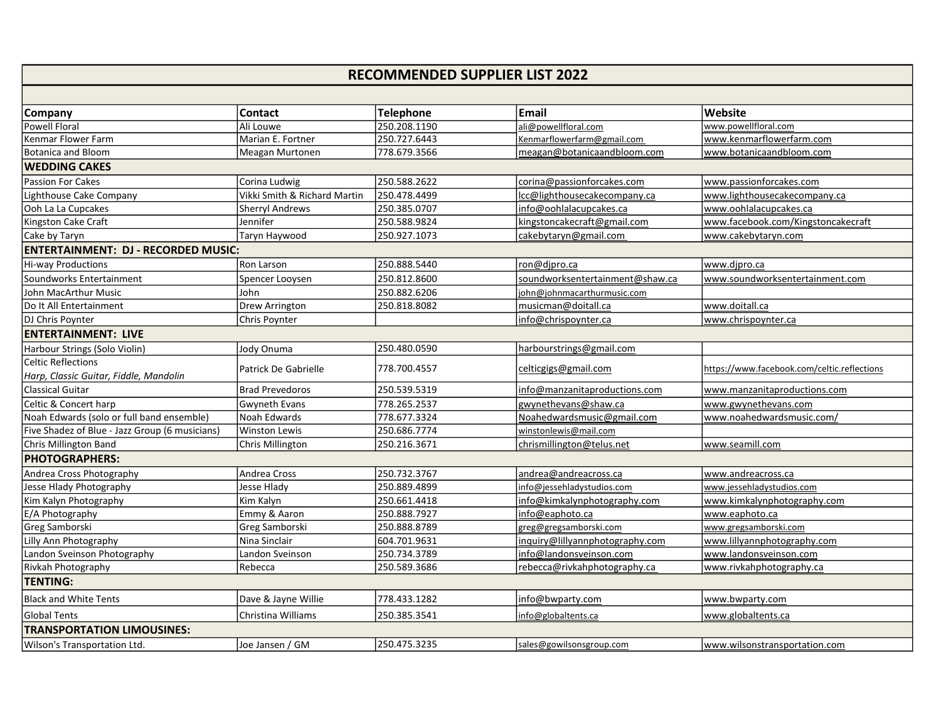## RECOMMENDED SUPPLIER LIST 2022

| <b>Company</b>                                 | <b>Contact</b>               | <b>Telephone</b> | <b>Email</b>                    | Website                                     |  |  |  |  |
|------------------------------------------------|------------------------------|------------------|---------------------------------|---------------------------------------------|--|--|--|--|
| Powell Floral                                  | Ali Louwe                    | 250.208.1190     | ali@powellfloral.com            | www.powellfloral.com                        |  |  |  |  |
| Kenmar Flower Farm                             | Marian E. Fortner            | 250.727.6443     | Kenmarflowerfarm@gmail.com      | www.kenmarflowerfarm.com                    |  |  |  |  |
| Botanica and Bloom                             | Meagan Murtonen              | 778.679.3566     | meagan@botanicaandbloom.com     | www.botanicaandbloom.com                    |  |  |  |  |
| <b>WEDDING CAKES</b>                           |                              |                  |                                 |                                             |  |  |  |  |
| <b>Passion For Cakes</b>                       | Corina Ludwig                | 250.588.2622     | corina@passionforcakes.com      | www.passionforcakes.com                     |  |  |  |  |
| Lighthouse Cake Company                        | Vikki Smith & Richard Martin | 250.478.4499     | Icc@lighthousecakecompany.ca    | www.lighthousecakecompany.ca                |  |  |  |  |
| Ooh La La Cupcakes                             | <b>Sherryl Andrews</b>       | 250.385.0707     | info@oohlalacupcakes.ca         | www.oohlalacupcakes.ca                      |  |  |  |  |
| Kingston Cake Craft                            | Jennifer                     | 250.588.9824     | kingstoncakecraft@gmail.com     | www.facebook.com/Kingstoncakecraft          |  |  |  |  |
| Cake by Taryn                                  | Taryn Haywood                | 250.927.1073     | cakebytaryn@gmail.com           | www.cakebytaryn.com                         |  |  |  |  |
| <b>ENTERTAINMENT: DJ - RECORDED MUSIC:</b>     |                              |                  |                                 |                                             |  |  |  |  |
| <b>Hi-way Productions</b>                      | Ron Larson                   | 250.888.5440     | ron@dipro.ca                    | www.djpro.ca                                |  |  |  |  |
| Soundworks Entertainment                       | Spencer Looysen              | 250.812.8600     | soundworksentertainment@shaw.ca | www.soundworksentertainment.com             |  |  |  |  |
| John MacArthur Music                           | John                         | 250.882.6206     | john@johnmacarthurmusic.com     |                                             |  |  |  |  |
| Do It All Entertainment                        | Drew Arrington               | 250.818.8082     | musicman@doitall.ca             | www.doitall.ca                              |  |  |  |  |
| DJ Chris Poynter                               | Chris Poynter                |                  | info@chrispoynter.ca            | www.chrispoynter.ca                         |  |  |  |  |
| <b>ENTERTAINMENT: LIVE</b>                     |                              |                  |                                 |                                             |  |  |  |  |
| Harbour Strings (Solo Violin)                  | Jody Onuma                   | 250.480.0590     | harbourstrings@gmail.com        |                                             |  |  |  |  |
| <b>Celtic Reflections</b>                      | Patrick De Gabrielle         | 778.700.4557     | celticgigs@gmail.com            | https://www.facebook.com/celtic.reflections |  |  |  |  |
| Harp, Classic Guitar, Fiddle, Mandolin         |                              |                  |                                 |                                             |  |  |  |  |
| Classical Guitar                               | <b>Brad Prevedoros</b>       | 250.539.5319     | info@manzanitaproductions.com   | www.manzanitaproductions.com                |  |  |  |  |
| Celtic & Concert harp                          | <b>Gwyneth Evans</b>         | 778.265.2537     | gwynethevans@shaw.ca            | www.gwynethevans.com                        |  |  |  |  |
| Noah Edwards (solo or full band ensemble)      | Noah Edwards                 | 778.677.3324     | Noahedwardsmusic@gmail.com      | www.noahedwardsmusic.com/                   |  |  |  |  |
| Five Shadez of Blue - Jazz Group (6 musicians) | Winston Lewis                | 250.686.7774     | winstonlewis@mail.com           |                                             |  |  |  |  |
| Chris Millington Band                          | Chris Millington             | 250.216.3671     | chrismillington@telus.net       | www.seamill.com                             |  |  |  |  |
| <b>PHOTOGRAPHERS:</b>                          |                              |                  |                                 |                                             |  |  |  |  |
| Andrea Cross Photography                       | Andrea Cross                 | 250.732.3767     | andrea@andreacross.ca           | www.andreacross.ca                          |  |  |  |  |
| Jesse Hlady Photography                        | Jesse Hlady                  | 250.889.4899     | info@jessehladystudios.com      | www.jessehladystudios.com                   |  |  |  |  |
| Kim Kalyn Photography                          | Kim Kalyn                    | 250.661.4418     | info@kimkalynphotography.com    | www.kimkalynphotography.com                 |  |  |  |  |
| E/A Photography                                | Emmy & Aaron                 | 250.888.7927     | info@eaphoto.ca                 | www.eaphoto.ca                              |  |  |  |  |
| Greg Samborski                                 | Greg Samborski               | 250.888.8789     | greg@gregsamborski.com          | www.gregsamborski.com                       |  |  |  |  |
| Lilly Ann Photography                          | Nina Sinclair                | 604.701.9631     | inquiry@lillyannphotography.com | www.lillyannphotography.com                 |  |  |  |  |
| Landon Sveinson Photography                    | Landon Sveinson              | 250.734.3789     | info@landonsveinson.com         | www.landonsveinson.com                      |  |  |  |  |
| Rivkah Photography                             | Rebecca                      | 250.589.3686     | rebecca@rivkahphotography.ca    | www.rivkahphotography.ca                    |  |  |  |  |
| <b>TENTING:</b>                                |                              |                  |                                 |                                             |  |  |  |  |
| <b>Black and White Tents</b>                   | Dave & Jayne Willie          | 778.433.1282     | info@bwparty.com                | www.bwparty.com                             |  |  |  |  |
| <b>Global Tents</b>                            | Christina Williams           | 250.385.3541     | info@globaltents.ca             | www.globaltents.ca                          |  |  |  |  |
| <b>TRANSPORTATION LIMOUSINES:</b>              |                              |                  |                                 |                                             |  |  |  |  |
| Wilson's Transportation Ltd.                   | Joe Jansen / GM              | 250.475.3235     | sales@gowilsonsgroup.com        | www.wilsonstransportation.com               |  |  |  |  |
|                                                |                              |                  |                                 |                                             |  |  |  |  |